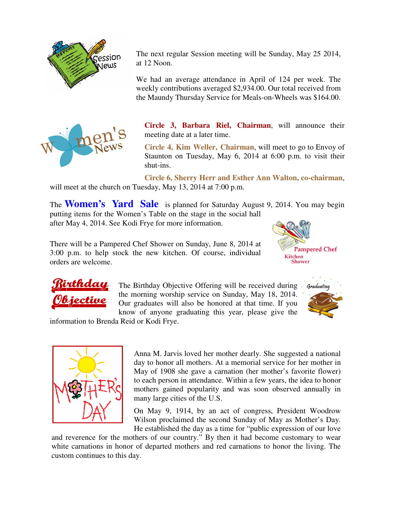

The next regular Session meeting will be Sunday, May 25 2014, at 12 Noon.

We had an average attendance in April of 124 per week. The weekly contributions averaged \$2,934.00. Our total received from the Maundy Thursday Service for Meals-on-Wheels was \$164.00.



**Circle 3, Barbara Riel, Chairman**, will announce their meeting date at a later time.

**Circle 4, Kim Weller, Chairman**, will meet to go to Envoy of Staunton on Tuesday, May 6, 2014 at 6:00 p.m. to visit their shut-ins.

**Circle 6, Sherry Herr and Esther Ann Walton, co-chairman**, will meet at the church on Tuesday, May 13, 2014 at 7:00 p.m.

The **Women's Yard Sale** is planned for Saturday August 9, 2014. You may begin putting items for the Women's Table on the stage in the social hall

after May 4, 2014. See Kodi Frye for more information.

There will be a Pampered Chef Shower on Sunday, June 8, 2014 at 3:00 p.m. to help stock the new kitchen. Of course, individual orders are welcome.





The Birthday Objective Offering will be received during the morning worship service on Sunday, May 18, 2014. Our graduates will also be honored at that time. If you know of anyone graduating this year, please give the



information to Brenda Reid or Kodi Frye.



Anna M. Jarvis loved her mother dearly. She suggested a national day to honor all mothers. At a memorial service for her mother in May of 1908 she gave a carnation (her mother's favorite flower) to each person in attendance. Within a few years, the idea to honor mothers gained popularity and was soon observed annually in many large cities of the U.S.

On May 9, 1914, by an act of congress, President Woodrow Wilson proclaimed the second Sunday of May as Mother's Day. He established the day as a time for "public expression of our love

and reverence for the mothers of our country." By then it had become customary to wear white carnations in honor of departed mothers and red carnations to honor the living. The custom continues to this day.